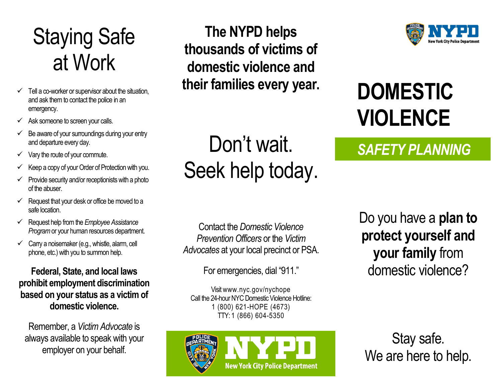## Staying Safe at Work

- $\checkmark$  Tell a co-worker or supervisor about the situation, and ask them to contact the police in an emergency.
- $\checkmark$  Ask someone to screen your calls.
- $\checkmark$  Be aware of your surroundings during your entry and departure every day.
- $\checkmark$  Vary the route of your commute.
- $\checkmark$  Keep a copy of your Order of Protection with you.
- $\checkmark$  Provide security and/or receptionists with a photo of the abuser.
- $\checkmark$  Request that your desk or office be moved to a safe location.
- Request help from the *Employee Assistance Program*or your human resources department.
- $\checkmark$  Carry a noisemaker (e.g., whistle, alarm, cell phone, etc.) with you to summon help.

**Federal, State, and local laws prohibit employment discrimination based on your status as a victim of domestic violence.**

Remember, a *VictimAdvocate* is always available to speak with your employer on your behalf.

**The NYPD helps thousands of victims of domestic violence and their families every year.**

Don't wait.

Seek help today.



## **DOMESTIC VIOLENCE**

### *SAFETY PLANNING*

Contact the *Domestic Violence Prevention Officers* or the *Victim Advocates* at your local precinct or PSA.

For emergencies, dial "911."

Visit www.nyc.gov/nychope Call the 24-hour NYC Domestic Violence Hotline: 1 (800) 621-HOPE (4673) TTY: 1 (866) 604-5350



Do you have a **plan to protect yourself and your family** from domestic violence?

Stay safe. We are here to help.